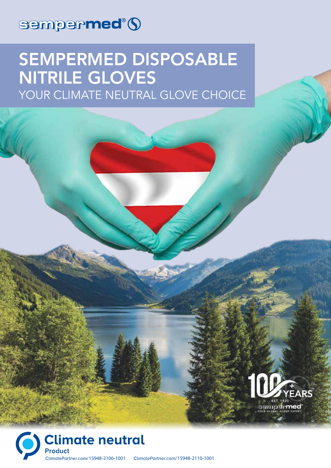

# SEMPERMED DISPOSABLE NITRILE GLOVES YOUR CLIMATE NEUTRAL GLOVE CHOICE

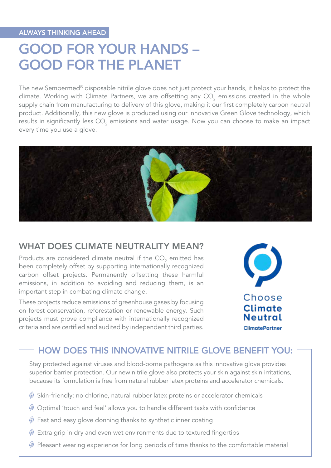## GOOD FOR YOUR HANDS – GOOD FOR THE PLANET

The new Sempermed® disposable nitrile glove does not just protect your hands, it helps to protect the climate. Working with Climate Partners, we are offsetting any CO<sub>2</sub> emissions created in the whole supply chain from manufacturing to delivery of this glove, making it our first completely carbon neutral product. Additionally, this new glove is produced using our innovative Green Glove technology, which results in significantly less CO $_{\textrm{\tiny{2}}}$  emissions and water usage. Now you can choose to make an impact every time you use a glove.



#### WHAT DOES CLIMATE NEUTRALITY MEAN?

Products are considered climate neutral if the CO<sub>2</sub> emitted has been completely offset by supporting internationally recognized carbon offset projects. Permanently offsetting these harmful emissions, in addition to avoiding and reducing them, is an important step in combating climate change.

These projects reduce emissions of greenhouse gases by focusing on forest conservation, reforestation or renewable energy. Such projects must prove compliance with internationally recognized criteria and are certified and audited by independent third parties.



#### HOW DOES THIS INNOVATIVE NITRILE GLOVE BENEFIT YOU:

Stay protected against viruses and blood-borne pathogens as this innovative glove provides superior barrier protection. Our new nitrile glove also protects your skin against skin irritations, because its formulation is free from natural rubber latex proteins and accelerator chemicals.

- Skin-friendly: no chlorine, natural rubber latex proteins or accelerator chemicals
- Optimal 'touch and feel' allows you to handle different tasks with confidence
- Fast and easy glove donning thanks to synthetic inner coating
- $$\circledast$  Extra grip in dry and even wet environments due to textured fingerprints$
- $<sup>3</sup>$  Pleasant wearing experience for long periods of time thanks to the comfortable material</sup>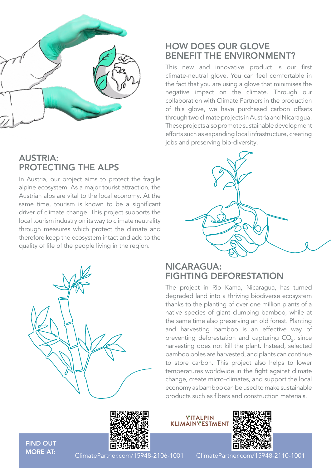

### AUSTRIA: PROTECTING THE ALPS

In Austria, our project aims to protect the fragile alpine ecosystem. As a major tourist attraction, the Austrian alps are vital to the local economy. At the same time, tourism is known to be a significant driver of climate change. This project supports the local tourism industry on its way to climate neutrality through measures which protect the climate and therefore keep the ecosystem intact and add to the quality of life of the people living in the region.



#### HOW DOES OUR GLOVE BENEFIT THE ENVIRONMENT?

This new and innovative product is our first climate-neutral glove. You can feel comfortable in the fact that you are using a glove that minimises the negative impact on the climate. Through our collaboration with Climate Partners in the production of this glove, we have purchased carbon offsets through two climate projects in Austria and Nicaragua. These projects also promote sustainable development efforts such as expanding local infrastructure, creating jobs and preserving bio-diversity.



#### NICARAGUA: FIGHTING DEFORESTATION

The project in Rio Kama, Nicaragua, has turned degraded land into a thriving biodiverse ecosystem thanks to the planting of over one million plants of a native species of giant clumping bamboo, while at the same time also preserving an old forest. Planting and harvesting bamboo is an effective way of preventing deforestation and capturing  $\mathrm{CO}_{2'}$  since harvesting does not kill the plant. Instead, selected bamboo poles are harvested, and plants can continue to store carbon. This project also helps to lower temperatures worldwide in the fight against climate change, create micro-climates, and support the local economy as bamboo can be used to make sustainable products such as fibers and construction materials.

FIND OUT MORE AT:



**YITALPIN**<br>KLIMAINYESTMENI



ClimatePartner.com/15948-2106-1001 ClimatePartner.com/15948-2110-1001